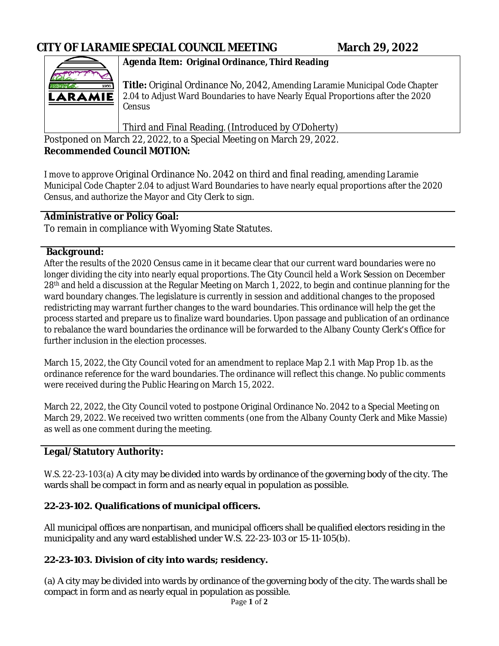

# **Agenda Item: Original Ordinance, Third Reading**

**Title:** Original Ordinance No, 2042, Amending Laramie Municipal Code Chapter 2.04 to Adjust Ward Boundaries to have Nearly Equal Proportions after the 2020 Census

Third and Final Reading. (Introduced by O'Doherty)

Postponed on March 22, 2022, to a Special Meeting on March 29, 2022. **Recommended Council MOTION:**

I move to approve Original Ordinance No. 2042 on third and final reading, amending Laramie Municipal Code Chapter 2.04 to adjust Ward Boundaries to have nearly equal proportions after the 2020 Census, and authorize the Mayor and City Clerk to sign.

## **Administrative or Policy Goal:**

To remain in compliance with Wyoming State Statutes.

#### **Background:**

After the results of the 2020 Census came in it became clear that our current ward boundaries were no longer dividing the city into nearly equal proportions. The City Council held a Work Session on December 28th and held a discussion at the Regular Meeting on March 1, 2022, to begin and continue planning for the ward boundary changes. The legislature is currently in session and additional changes to the proposed redistricting may warrant further changes to the ward boundaries. This ordinance will help the get the process started and prepare us to finalize ward boundaries. Upon passage and publication of an ordinance to rebalance the ward boundaries the ordinance will be forwarded to the Albany County Clerk's Office for further inclusion in the election processes.

March 15, 2022, the City Council voted for an amendment to replace Map 2.1 with Map Prop 1b. as the ordinance reference for the ward boundaries. The ordinance will reflect this change. No public comments were received during the Public Hearing on March 15, 2022.

March 22, 2022, the City Council voted to postpone Original Ordinance No. 2042 to a Special Meeting on March 29, 2022. We received two written comments (one from the Albany County Clerk and Mike Massie) as well as one comment during the meeting.

## **Legal/Statutory Authority:**

W.S. 22-23-103(a) A city may be divided into wards by ordinance of the governing body of the city. The wards shall be compact in form and as nearly equal in population as possible.

## **22-23-102. Qualifications of municipal officers.**

All municipal offices are nonpartisan, and municipal officers shall be qualified electors residing in the municipality and any ward established under W.S. 22-23-103 or 15-11-105(b).

## **22-23-103. Division of city into wards; residency.**

(a) A city may be divided into wards by ordinance of the governing body of the city. The wards shall be compact in form and as nearly equal in population as possible.